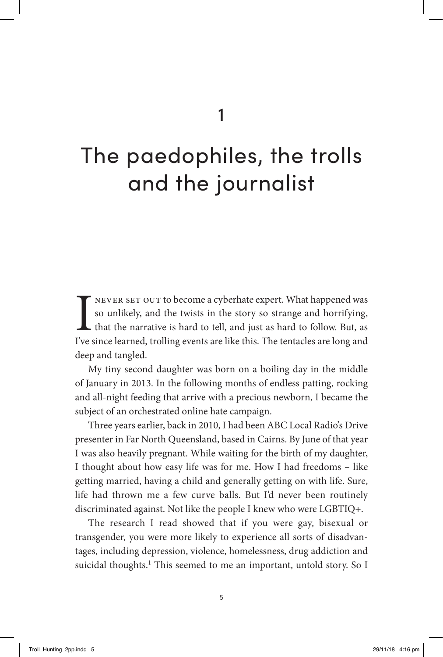## The paedophiles, the trolls and the journalist

INEVER SET OUT to become a cyberhate expert. What happened was so unlikely, and the twists in the story so strange and horrifying, that the narrative is hard to tell, and just as hard to follow. But, as I've since learned, never set out to become a cyberhate expert. What happened was so unlikely, and the twists in the story so strange and horrifying, I that the narrative is hard to tell, and just as hard to follow. But, as deep and tangled.

My tiny second daughter was born on a boiling day in the middle of January in 2013. In the following months of endless patting, rocking and all-night feeding that arrive with a precious newborn, I became the subject of an orchestrated online hate campaign.

Three years earlier, back in 2010, I had been ABC Local Radio's Drive presenter in Far North Queensland, based in Cairns. By June of that year I was also heavily pregnant. While waiting for the birth of my daughter, I thought about how easy life was for me. How I had freedoms – like getting married, having a child and generally getting on with life. Sure, life had thrown me a few curve balls. But I'd never been routinely discriminated against. Not like the people I knew who were LGBTIQ+.

The research I read showed that if you were gay, bisexual or transgender, you were more likely to experience all sorts of disadvantages, including depression, violence, homelessness, drug addiction and suicidal thoughts.<sup>1</sup> This seemed to me an important, untold story. So I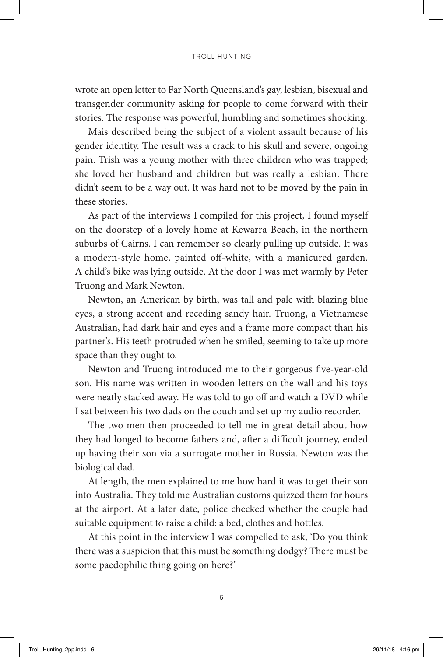wrote an open letter to Far North Queensland's gay, lesbian, bisexual and transgender community asking for people to come forward with their stories. The response was powerful, humbling and sometimes shocking.

Mais described being the subject of a violent assault because of his gender identity. The result was a crack to his skull and severe, ongoing pain. Trish was a young mother with three children who was trapped; she loved her husband and children but was really a lesbian. There didn't seem to be a way out. It was hard not to be moved by the pain in these stories.

As part of the interviews I compiled for this project, I found myself on the doorstep of a lovely home at Kewarra Beach, in the northern suburbs of Cairns. I can remember so clearly pulling up outside. It was a modern-style home, painted off-white, with a manicured garden. A child's bike was lying outside. At the door I was met warmly by Peter Truong and Mark Newton.

Newton, an American by birth, was tall and pale with blazing blue eyes, a strong accent and receding sandy hair. Truong, a Vietnamese Australian, had dark hair and eyes and a frame more compact than his partner's. His teeth protruded when he smiled, seeming to take up more space than they ought to.

Newton and Truong introduced me to their gorgeous five-year-old son. His name was written in wooden letters on the wall and his toys were neatly stacked away. He was told to go off and watch a DVD while I sat between his two dads on the couch and set up my audio recorder.

The two men then proceeded to tell me in great detail about how they had longed to become fathers and, after a difficult journey, ended up having their son via a surrogate mother in Russia. Newton was the biological dad.

At length, the men explained to me how hard it was to get their son into Australia. They told me Australian customs quizzed them for hours at the airport. At a later date, police checked whether the couple had suitable equipment to raise a child: a bed, clothes and bottles.

At this point in the interview I was compelled to ask, 'Do you think there was a suspicion that this must be something dodgy? There must be some paedophilic thing going on here?'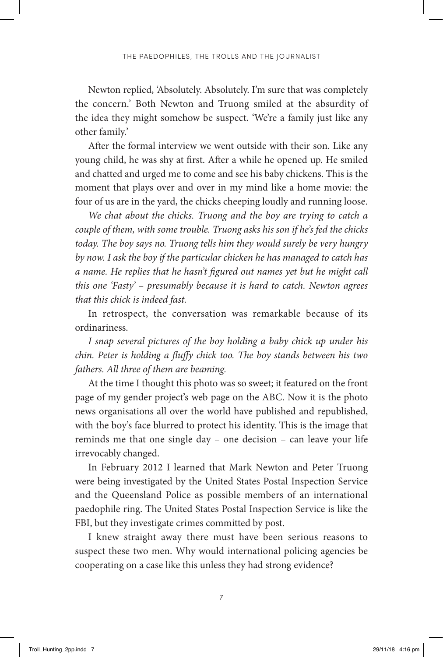Newton replied, 'Absolutely. Absolutely. I'm sure that was completely the concern.' Both Newton and Truong smiled at the absurdity of the idea they might somehow be suspect. 'We're a family just like any other family.'

After the formal interview we went outside with their son. Like any young child, he was shy at first. After a while he opened up. He smiled and chatted and urged me to come and see his baby chickens. This is the moment that plays over and over in my mind like a home movie: the four of us are in the yard, the chicks cheeping loudly and running loose.

*We chat about the chicks. Truong and the boy are trying to catch a couple of them, with some trouble. Truong asks his son if he's fed the chicks today. The boy says no. Truong tells him they would surely be very hungry by now. I ask the boy if the particular chicken he has managed to catch has a name. He replies that he hasn't figured out names yet but he might call this one 'Fasty' – presumably because it is hard to catch. Newton agrees that this chick is indeed fast.*

In retrospect, the conversation was remarkable because of its ordinariness.

*I snap several pictures of the boy holding a baby chick up under his chin. Peter is holding a fluffy chick too. The boy stands between his two fathers. All three of them are beaming.*

At the time I thought this photo was so sweet; it featured on the front page of my gender project's web page on the ABC. Now it is the photo news organisations all over the world have published and republished, with the boy's face blurred to protect his identity. This is the image that reminds me that one single day – one decision – can leave your life irrevocably changed.

In February 2012 I learned that Mark Newton and Peter Truong were being investigated by the United States Postal Inspection Service and the Queensland Police as possible members of an international paedophile ring. The United States Postal Inspection Service is like the FBI, but they investigate crimes committed by post.

I knew straight away there must have been serious reasons to suspect these two men. Why would international policing agencies be cooperating on a case like this unless they had strong evidence?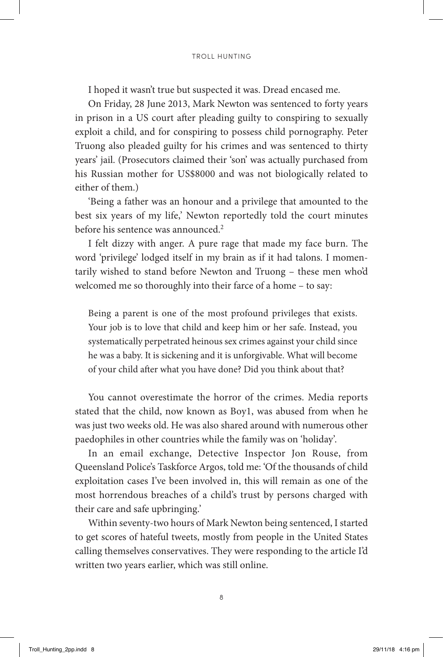I hoped it wasn't true but suspected it was. Dread encased me.

On Friday, 28 June 2013, Mark Newton was sentenced to forty years in prison in a US court after pleading guilty to conspiring to sexually exploit a child, and for conspiring to possess child pornography. Peter Truong also pleaded guilty for his crimes and was sentenced to thirty years' jail. (Prosecutors claimed their 'son' was actually purchased from his Russian mother for US\$8000 and was not biologically related to either of them.)

'Being a father was an honour and a privilege that amounted to the best six years of my life,' Newton reportedly told the court minutes before his sentence was announced.<sup>2</sup>

I felt dizzy with anger. A pure rage that made my face burn. The word 'privilege' lodged itself in my brain as if it had talons. I momentarily wished to stand before Newton and Truong – these men who'd welcomed me so thoroughly into their farce of a home – to say:

Being a parent is one of the most profound privileges that exists. Your job is to love that child and keep him or her safe. Instead, you systematically perpetrated heinous sex crimes against your child since he was a baby. It is sickening and it is unforgivable. What will become of your child after what you have done? Did you think about that?

You cannot overestimate the horror of the crimes. Media reports stated that the child, now known as Boy1, was abused from when he was just two weeks old. He was also shared around with numerous other paedophiles in other countries while the family was on 'holiday'.

In an email exchange, Detective Inspector Jon Rouse, from Queensland Police's Taskforce Argos, told me: 'Of the thousands of child exploitation cases I've been involved in, this will remain as one of the most horrendous breaches of a child's trust by persons charged with their care and safe upbringing.'

Within seventy-two hours of Mark Newton being sentenced, I started to get scores of hateful tweets, mostly from people in the United States calling themselves conservatives. They were responding to the article I'd written two years earlier, which was still online.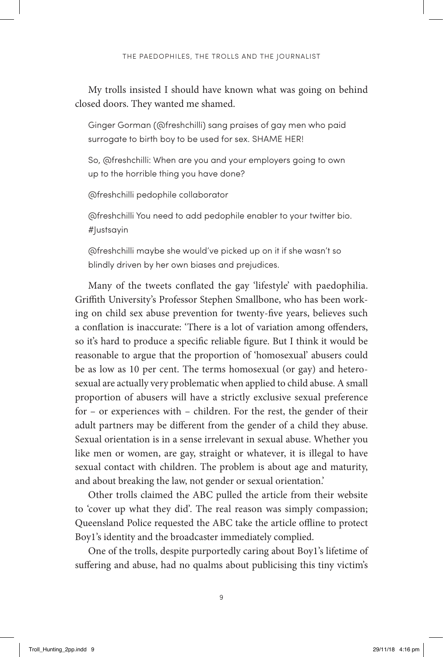My trolls insisted I should have known what was going on behind closed doors. They wanted me shamed.

Ginger Gorman (@freshchilli) sang praises of gay men who paid surrogate to birth boy to be used for sex. SHAME HER!

So, @freshchilli: When are you and your employers going to own up to the horrible thing you have done?

@freshchilli pedophile collaborator

@freshchilli You need to add pedophile enabler to your twitter bio. #Justsayin

@freshchilli maybe she would've picked up on it if she wasn't so blindly driven by her own biases and prejudices.

Many of the tweets conflated the gay 'lifestyle' with paedophilia. Griffith University's Professor Stephen Smallbone, who has been working on child sex abuse prevention for twenty-five years, believes such a conflation is inaccurate: 'There is a lot of variation among offenders, so it's hard to produce a specific reliable figure. But I think it would be reasonable to argue that the proportion of 'homosexual' abusers could be as low as 10 per cent. The terms homosexual (or gay) and heterosexual are actually very problematic when applied to child abuse. A small proportion of abusers will have a strictly exclusive sexual preference for – or experiences with – children. For the rest, the gender of their adult partners may be different from the gender of a child they abuse. Sexual orientation is in a sense irrelevant in sexual abuse. Whether you like men or women, are gay, straight or whatever, it is illegal to have sexual contact with children. The problem is about age and maturity, and about breaking the law, not gender or sexual orientation.'

Other trolls claimed the ABC pulled the article from their website to 'cover up what they did'. The real reason was simply compassion; Queensland Police requested the ABC take the article offline to protect Boy1's identity and the broadcaster immediately complied.

One of the trolls, despite purportedly caring about Boy1's lifetime of suffering and abuse, had no qualms about publicising this tiny victim's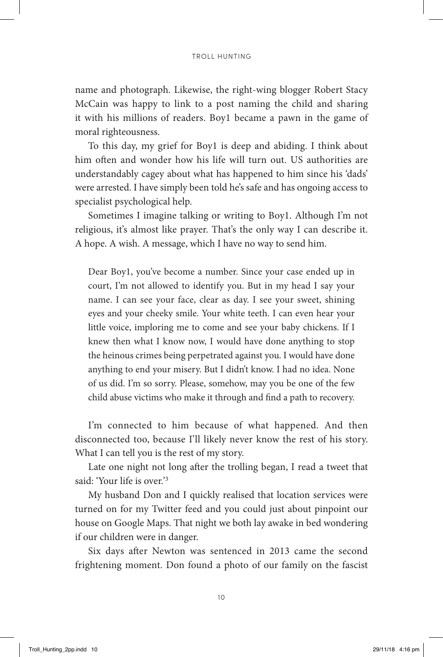name and photograph. Likewise, the right-wing blogger Robert Stacy McCain was happy to link to a post naming the child and sharing it with his millions of readers. Boy1 became a pawn in the game of moral righteousness.

To this day, my grief for Boy1 is deep and abiding. I think about him often and wonder how his life will turn out. US authorities are understandably cagey about what has happened to him since his 'dads' were arrested. I have simply been told he's safe and has ongoing access to specialist psychological help.

Sometimes I imagine talking or writing to Boy1. Although I'm not religious, it's almost like prayer. That's the only way I can describe it. A hope. A wish. A message, which I have no way to send him.

Dear Boy1, you've become a number. Since your case ended up in court, I'm not allowed to identify you. But in my head I say your name. I can see your face, clear as day. I see your sweet, shining eyes and your cheeky smile. Your white teeth. I can even hear your little voice, imploring me to come and see your baby chickens. If I knew then what I know now, I would have done anything to stop the heinous crimes being perpetrated against you. I would have done anything to end your misery. But I didn't know. I had no idea. None of us did. I'm so sorry. Please, somehow, may you be one of the few child abuse victims who make it through and find a path to recovery.

I'm connected to him because of what happened. And then disconnected too, because I'll likely never know the rest of his story. What I can tell you is the rest of my story.

Late one night not long after the trolling began, I read a tweet that said: 'Your life is over.'3

My husband Don and I quickly realised that location services were turned on for my Twitter feed and you could just about pinpoint our house on Google Maps. That night we both lay awake in bed wondering if our children were in danger.

Six days after Newton was sentenced in 2013 came the second frightening moment. Don found a photo of our family on the fascist